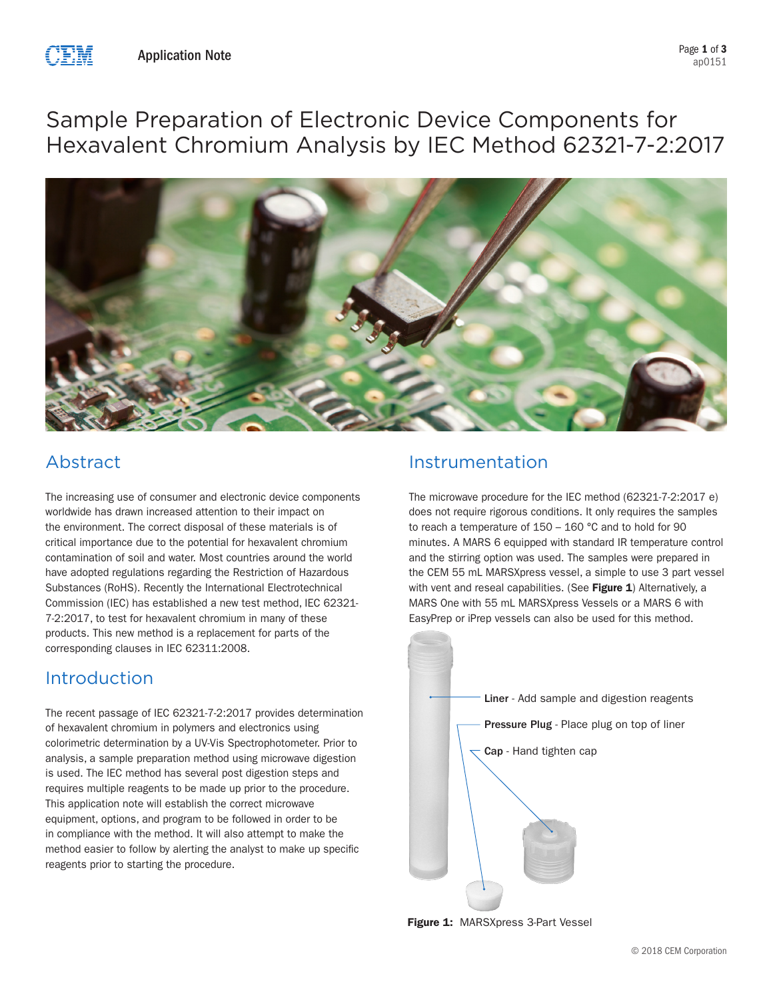

# Sample Preparation of Electronic Device Components for Hexavalent Chromium Analysis by IEC Method 62321-7-2:2017



## Abstract

The increasing use of consumer and electronic device components worldwide has drawn increased attention to their impact on the environment. The correct disposal of these materials is of critical importance due to the potential for hexavalent chromium contamination of soil and water. Most countries around the world have adopted regulations regarding the Restriction of Hazardous Substances (RoHS). Recently the International Electrotechnical Commission (IEC) has established a new test method, IEC 62321- 7-2:2017, to test for hexavalent chromium in many of these products. This new method is a replacement for parts of the corresponding clauses in IEC 62311:2008.

### Introduction

The recent passage of IEC 62321-7-2:2017 provides determination of hexavalent chromium in polymers and electronics using colorimetric determination by a UV-Vis Spectrophotometer. Prior to analysis, a sample preparation method using microwave digestion is used. The IEC method has several post digestion steps and requires multiple reagents to be made up prior to the procedure. This application note will establish the correct microwave equipment, options, and program to be followed in order to be in compliance with the method. It will also attempt to make the method easier to follow by alerting the analyst to make up specific reagents prior to starting the procedure.

### Instrumentation

The microwave procedure for the IEC method (62321-7-2:2017 e) does not require rigorous conditions. It only requires the samples to reach a temperature of  $150 - 160$  °C and to hold for 90 minutes. A MARS 6 equipped with standard IR temperature control and the stirring option was used. The samples were prepared in the CEM 55 mL MARSXpress vessel, a simple to use 3 part vessel with vent and reseal capabilities. (See Figure 1) Alternatively, a MARS One with 55 mL MARSXpress Vessels or a MARS 6 with EasyPrep or iPrep vessels can also be used for this method.



Figure 1: MARSXpress 3-Part Vessel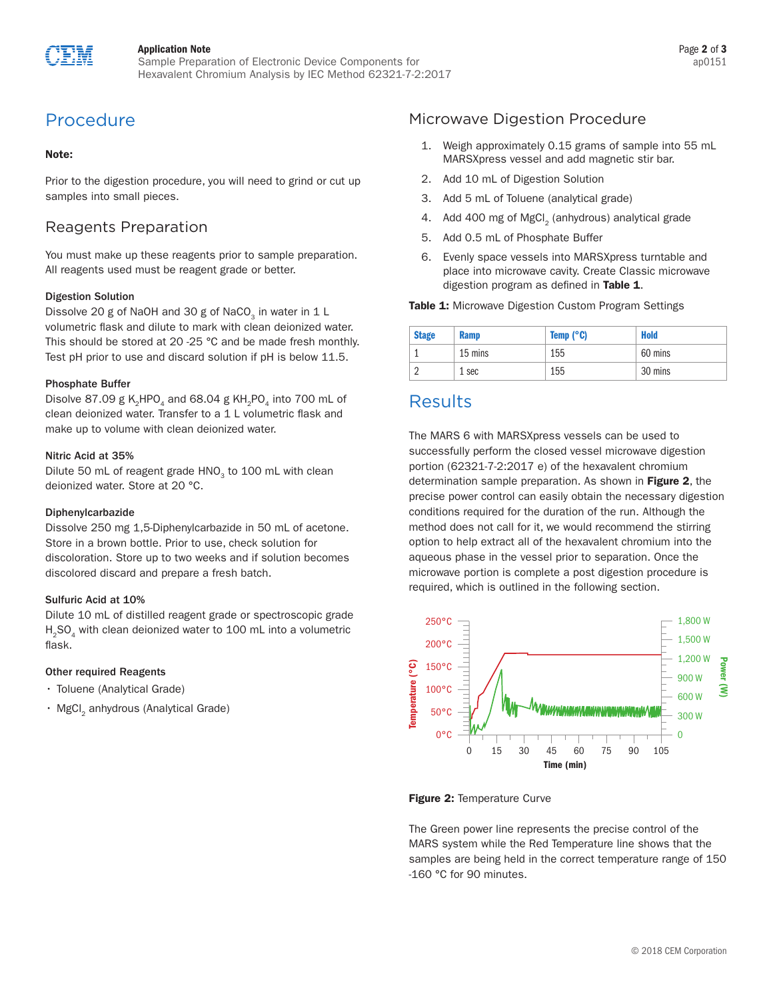

### Application Note

Sample Preparation of Electronic Device Components for Hexavalent Chromium Analysis by IEC Method 62321-7-2:2017

# Procedure

### Note:

Prior to the digestion procedure, you will need to grind or cut up samples into small pieces.

### Reagents Preparation

You must make up these reagents prior to sample preparation. All reagents used must be reagent grade or better.

### Digestion Solution

Dissolve 20 g of NaOH and 30 g of NaCO<sub>2</sub> in water in 1 L volumetric flask and dilute to mark with clean deionized water. This should be stored at 20 -25 °C and be made fresh monthly. Test pH prior to use and discard solution if pH is below 11.5.

### Phosphate Buffer

Disolve 87.09 g K<sub>2</sub>HPO<sub>4</sub> and 68.04 g KH<sub>2</sub>PO<sub>4</sub> into 700 mL of clean deionized water. Transfer to a 1 L volumetric flask and make up to volume with clean deionized water.

### Nitric Acid at 35%

Dilute 50 mL of reagent grade HNO<sub>2</sub> to 100 mL with clean deionized water. Store at 20 °C.

#### Diphenylcarbazide

Dissolve 250 mg 1,5-Diphenylcarbazide in 50 mL of acetone. Store in a brown bottle. Prior to use, check solution for discoloration. Store up to two weeks and if solution becomes discolored discard and prepare a fresh batch.

### Sulfuric Acid at 10%

Dilute 10 mL of distilled reagent grade or spectroscopic grade H<sub>2</sub>SO<sub>4</sub> with clean deionized water to 100 mL into a volumetric flask.

### Other required Reagents

- Toluene (Analytical Grade)
- MgCl<sub>2</sub> anhydrous (Analytical Grade)

### Microwave Digestion Procedure

- 1. Weigh approximately 0.15 grams of sample into 55 mL MARSXpress vessel and add magnetic stir bar.
- 2. Add 10 mL of Digestion Solution
- 3. Add 5 mL of Toluene (analytical grade)
- 4. Add 400 mg of MgCl<sub>2</sub> (anhydrous) analytical grade
- 5. Add 0.5 mL of Phosphate Buffer
- 6. Evenly space vessels into MARSXpress turntable and place into microwave cavity. Create Classic microwave digestion program as defined in Table 1.

#### Table 1: Microwave Digestion Custom Program Settings

| <b>Stage</b> | <b>Ramp</b> | Temp $(^{\circ}C)$ | <b>Hold</b> |
|--------------|-------------|--------------------|-------------|
|              | 15 mins     | 155                | 60 mins     |
|              | 1 sec       | 155                | 30 mins     |

### **Results**

The MARS 6 with MARSXpress vessels can be used to successfully perform the closed vessel microwave digestion portion (62321-7-2:2017 e) of the hexavalent chromium determination sample preparation. As shown in Figure 2, the precise power control can easily obtain the necessary digestion conditions required for the duration of the run. Although the method does not call for it, we would recommend the stirring option to help extract all of the hexavalent chromium into the aqueous phase in the vessel prior to separation. Once the microwave portion is complete a post digestion procedure is required, which is outlined in the following section.



Figure 2: Temperature Curve

The Green power line represents the precise control of the MARS system while the Red Temperature line shows that the samples are being held in the correct temperature range of 150 -160 °C for 90 minutes.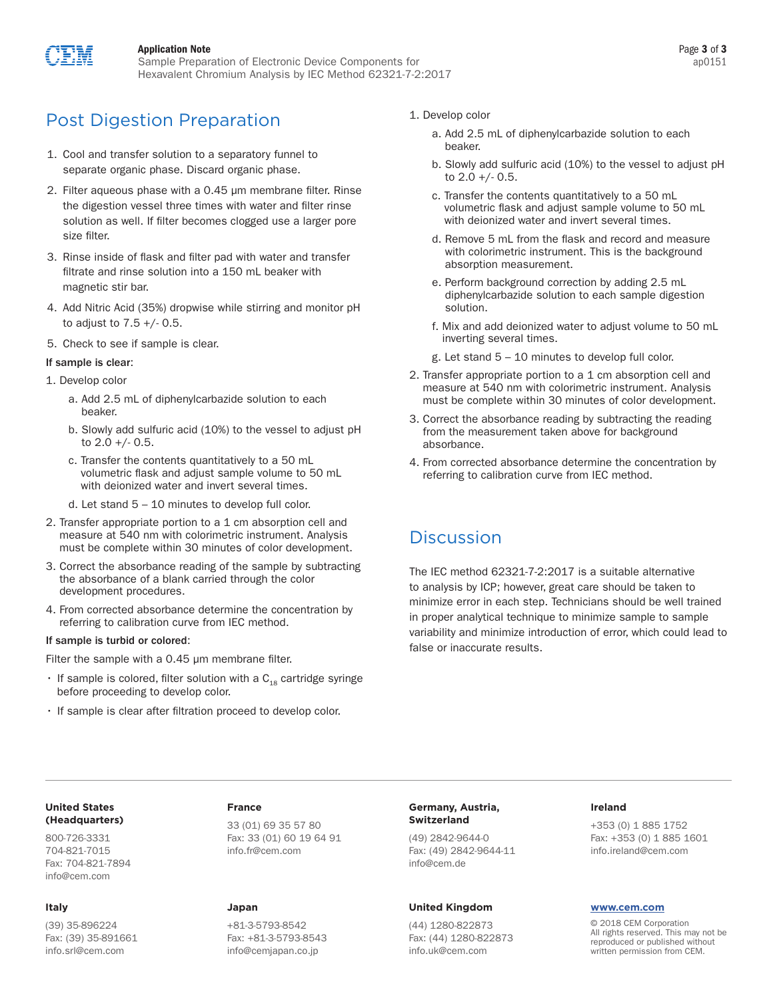

### Application Note

Sample Preparation of Electronic Device Components for Hexavalent Chromium Analysis by IEC Method 62321-7-2:2017

# Post Digestion Preparation

- 1. Cool and transfer solution to a separatory funnel to separate organic phase. Discard organic phase.
- 2. Filter aqueous phase with a 0.45 um membrane filter. Rinse the digestion vessel three times with water and filter rinse solution as well. If filter becomes clogged use a larger pore size filter.
- 3. Rinse inside of flask and filter pad with water and transfer filtrate and rinse solution into a 150 mL beaker with magnetic stir bar.
- 4. Add Nitric Acid (35%) dropwise while stirring and monitor pH to adjust to  $7.5 + (-0.5)$ .
- 5. Check to see if sample is clear.

### If sample is clear:

- 1. Develop color
	- a. Add 2.5 mL of diphenylcarbazide solution to each beaker.
	- b. Slowly add sulfuric acid (10%) to the vessel to adjust pH to  $2.0 +/- 0.5$ .
	- c. Transfer the contents quantitatively to a 50 mL volumetric flask and adjust sample volume to 50 mL with deionized water and invert several times.
	- d. Let stand 5 10 minutes to develop full color.
- 2. Transfer appropriate portion to a 1 cm absorption cell and measure at 540 nm with colorimetric instrument. Analysis must be complete within 30 minutes of color development.
- 3. Correct the absorbance reading of the sample by subtracting the absorbance of a blank carried through the color development procedures.
- 4. From corrected absorbance determine the concentration by referring to calibration curve from IEC method.

#### If sample is turbid or colored:

Filter the sample with a 0.45 um membrane filter.

- If sample is colored, filter solution with a  $C_{18}$  cartridge syringe before proceeding to develop color.
- If sample is clear after filtration proceed to develop color.
- 1. Develop color
	- a. Add 2.5 mL of diphenylcarbazide solution to each beaker.
	- b. Slowly add sulfuric acid (10%) to the vessel to adjust pH to  $2.0 +/- 0.5$ .
	- c. Transfer the contents quantitatively to a 50 mL volumetric flask and adjust sample volume to 50 mL with deionized water and invert several times.
	- d. Remove 5 mL from the flask and record and measure with colorimetric instrument. This is the background absorption measurement.
	- e. Perform background correction by adding 2.5 mL diphenylcarbazide solution to each sample digestion solution.
	- f. Mix and add deionized water to adjust volume to 50 mL inverting several times.
	- g. Let stand 5 10 minutes to develop full color.
- 2. Transfer appropriate portion to a 1 cm absorption cell and measure at 540 nm with colorimetric instrument. Analysis must be complete within 30 minutes of color development.
- 3. Correct the absorbance reading by subtracting the reading from the measurement taken above for background absorbance.
- 4. From corrected absorbance determine the concentration by referring to calibration curve from IEC method.

### **Discussion**

The IEC method 62321-7-2:2017 is a suitable alternative to analysis by ICP; however, great care should be taken to minimize error in each step. Technicians should be well trained in proper analytical technique to minimize sample to sample variability and minimize introduction of error, which could lead to false or inaccurate results.

### **United States (Headquarters)**

800-726-3331 704-821-7015 Fax: 704-821-7894 info@cem.com

### **Italy**

(39) 35-896224 Fax: (39) 35-891661 info.srl@cem.com

### **France**

33 (01) 69 35 57 80 Fax: 33 (01) 60 19 64 91 info.fr@cem.com

### **Japan**

+81-3-5793-8542 Fax: +81-3-5793-8543 info@cemjapan.co.jp

### **Germany, Austria, Switzerland**

(49) 2842-9644-0 Fax: (49) 2842-9644-11 info@cem.de

#### **United Kingdom**

(44) 1280-822873 Fax: (44) 1280-822873 info.uk@cem.com

### **Ireland**

+353 (0) 1 885 1752 Fax: +353 (0) 1 885 1601 info.ireland@cem.com

#### **www.cem.com**

© 2018 CEM Corporation All rights reserved. This may not be reproduced or published without written permission from CEM.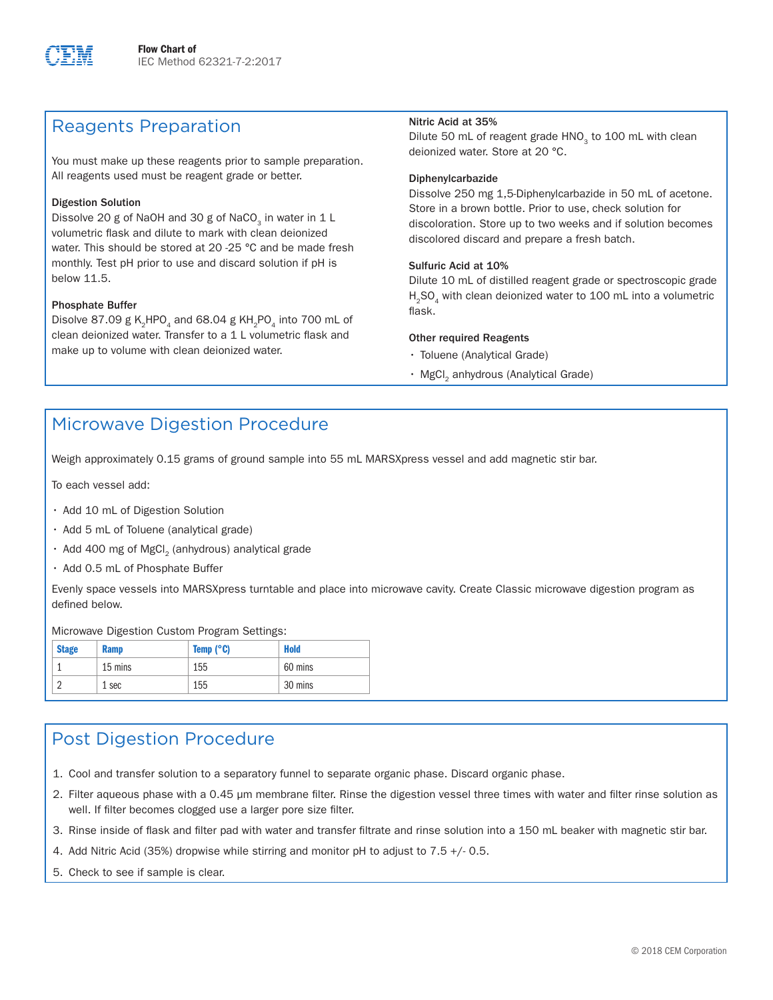

### Reagents Preparation

You must make up these reagents prior to sample preparation. All reagents used must be reagent grade or better.

### Digestion Solution

Dissolve 20 g of NaOH and 30 g of NaCO<sub>3</sub> in water in 1 L volumetric flask and dilute to mark with clean deionized water. This should be stored at 20 -25 °C and be made fresh monthly. Test pH prior to use and discard solution if pH is below 11.5.

### Phosphate Buffer

Disolve 87.09 g K<sub>2</sub>HPO<sub>4</sub> and 68.04 g KH<sub>2</sub>PO<sub>4</sub> into 700 mL of clean deionized water. Transfer to a 1 L volumetric flask and make up to volume with clean deionized water.

### Nitric Acid at 35%

Dilute 50 mL of reagent grade HNO<sub>2</sub> to 100 mL with clean deionized water. Store at 20 °C.

### Diphenylcarbazide

Dissolve 250 mg 1,5-Diphenylcarbazide in 50 mL of acetone. Store in a brown bottle. Prior to use, check solution for discoloration. Store up to two weeks and if solution becomes discolored discard and prepare a fresh batch.

### Sulfuric Acid at 10%

Dilute 10 mL of distilled reagent grade or spectroscopic grade H<sub>2</sub>SO<sub>4</sub> with clean deionized water to 100 mL into a volumetric flask.

### Other required Reagents

- Toluene (Analytical Grade)
- MgCl<sub>2</sub> anhydrous (Analytical Grade)

### Microwave Digestion Procedure

Weigh approximately 0.15 grams of ground sample into 55 mL MARSXpress vessel and add magnetic stir bar.

To each vessel add:

- Add 10 mL of Digestion Solution
- Add 5 mL of Toluene (analytical grade)
- $\cdot$  Add 400 mg of MgCl<sub>2</sub> (anhydrous) analytical grade
- Add 0.5 mL of Phosphate Buffer

Evenly space vessels into MARSXpress turntable and place into microwave cavity. Create Classic microwave digestion program as defined below.

Microwave Digestion Custom Program Settings:

| <b>Stage</b> | <b>Ramp</b> | Temp $(^{\circ}C)$ | <b>Hold</b> |
|--------------|-------------|--------------------|-------------|
|              | 15 mins     | 155                | 60 mins     |
| $\Omega$     | 1 sec       | 155                | 30 mins     |

### Post Digestion Procedure

- 1. Cool and transfer solution to a separatory funnel to separate organic phase. Discard organic phase.
- 2. Filter aqueous phase with a 0.45 µm membrane filter. Rinse the digestion vessel three times with water and filter rinse solution as well. If filter becomes clogged use a larger pore size filter.
- 3. Rinse inside of flask and filter pad with water and transfer filtrate and rinse solution into a 150 mL beaker with magnetic stir bar.
- 4. Add Nitric Acid (35%) dropwise while stirring and monitor pH to adjust to 7.5 +/- 0.5.
- 5. Check to see if sample is clear.